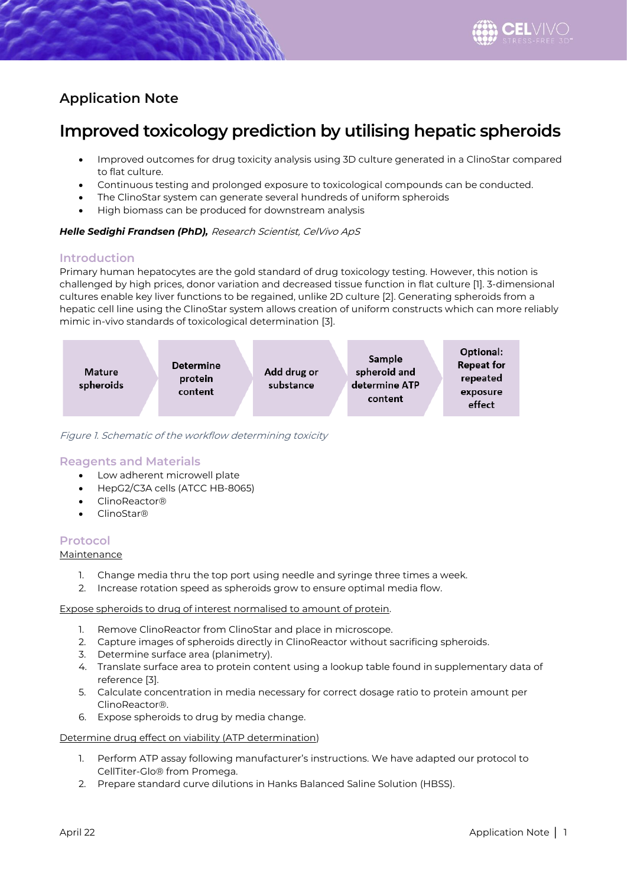

# **Application Note**

# **Improved toxicology prediction by utilising hepatic spheroids**

- Improved outcomes for drug toxicity analysis using 3D culture generated in a ClinoStar compared to flat culture.
- Continuous testing and prolonged exposure to toxicological compounds can be conducted.
- The ClinoStar system can generate several hundreds of uniform spheroids
- High biomass can be produced for downstream analysis

### *Helle Sedighi Frandsen (PhD),* Research Scientist, CelVivo ApS

# **Introduction**

Primary human hepatocytes are the gold standard of drug toxicology testing. However, this notion is challenged by high prices, donor variation and decreased tissue function in flat culture [1]. 3-dimensional cultures enable key liver functions to be regained, unlike 2D culture [2]. Generating spheroids from a hepatic cell line using the ClinoStar system allows creation of uniform constructs which can more reliably mimic in-vivo standards of toxicological determination [3].



Figure 1. Schematic of the workflow determining toxicity

# **Reagents and Materials**

- Low adherent microwell plate
- HepG2/C3A cells (ATCC HB-8065)
- ClinoReactor®
- ClinoStar®

# **Protocol**

#### Maintenance

- 1. Change media thru the top port using needle and syringe three times a week.
- 2. Increase rotation speed as spheroids grow to ensure optimal media flow.

#### Expose spheroids to drug of interest normalised to amount of protein.

- 1. Remove ClinoReactor from ClinoStar and place in microscope.
- 2. Capture images of spheroids directly in ClinoReactor without sacrificing spheroids.
- 3. Determine surface area (planimetry).
- 4. Translate surface area to protein content using a lookup table found in supplementary data of reference [3].
- 5. Calculate concentration in media necessary for correct dosage ratio to protein amount per ClinoReactor®.
- 6. Expose spheroids to drug by media change.

#### Determine drug effect on viability (ATP determination)

- 1. Perform ATP assay following manufacturer's instructions. We have adapted our protocol to CellTiter-Glo® from Promega.
- 2. Prepare standard curve dilutions in Hanks Balanced Saline Solution (HBSS).